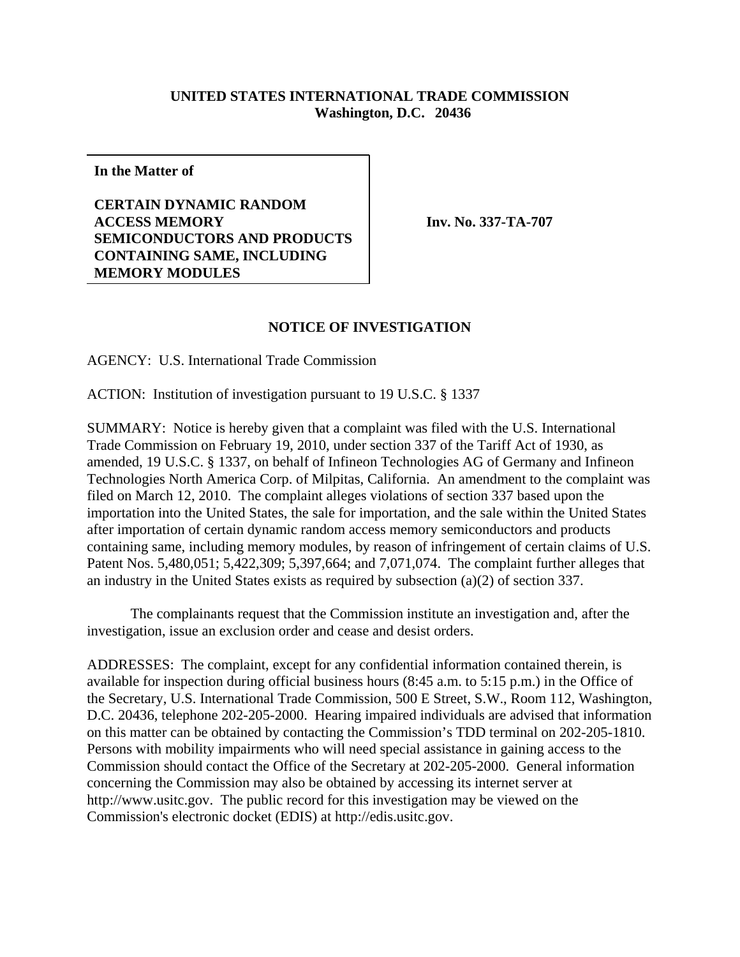## **UNITED STATES INTERNATIONAL TRADE COMMISSION Washington, D.C. 20436**

**In the Matter of**

**CERTAIN DYNAMIC RANDOM ACCESS MEMORY SEMICONDUCTORS AND PRODUCTS CONTAINING SAME, INCLUDING MEMORY MODULES**

**Inv. No. 337-TA-707**

## **NOTICE OF INVESTIGATION**

AGENCY: U.S. International Trade Commission

ACTION: Institution of investigation pursuant to 19 U.S.C. § 1337

SUMMARY: Notice is hereby given that a complaint was filed with the U.S. International Trade Commission on February 19, 2010, under section 337 of the Tariff Act of 1930, as amended, 19 U.S.C. § 1337, on behalf of Infineon Technologies AG of Germany and Infineon Technologies North America Corp. of Milpitas, California. An amendment to the complaint was filed on March 12, 2010. The complaint alleges violations of section 337 based upon the importation into the United States, the sale for importation, and the sale within the United States after importation of certain dynamic random access memory semiconductors and products containing same, including memory modules, by reason of infringement of certain claims of U.S. Patent Nos. 5,480,051; 5,422,309; 5,397,664; and 7,071,074. The complaint further alleges that an industry in the United States exists as required by subsection (a)(2) of section 337.

The complainants request that the Commission institute an investigation and, after the investigation, issue an exclusion order and cease and desist orders.

ADDRESSES: The complaint, except for any confidential information contained therein, is available for inspection during official business hours (8:45 a.m. to 5:15 p.m.) in the Office of the Secretary, U.S. International Trade Commission, 500 E Street, S.W., Room 112, Washington, D.C. 20436, telephone 202-205-2000. Hearing impaired individuals are advised that information on this matter can be obtained by contacting the Commission's TDD terminal on 202-205-1810. Persons with mobility impairments who will need special assistance in gaining access to the Commission should contact the Office of the Secretary at 202-205-2000. General information concerning the Commission may also be obtained by accessing its internet server at http://www.usitc.gov. The public record for this investigation may be viewed on the Commission's electronic docket (EDIS) at http://edis.usitc.gov.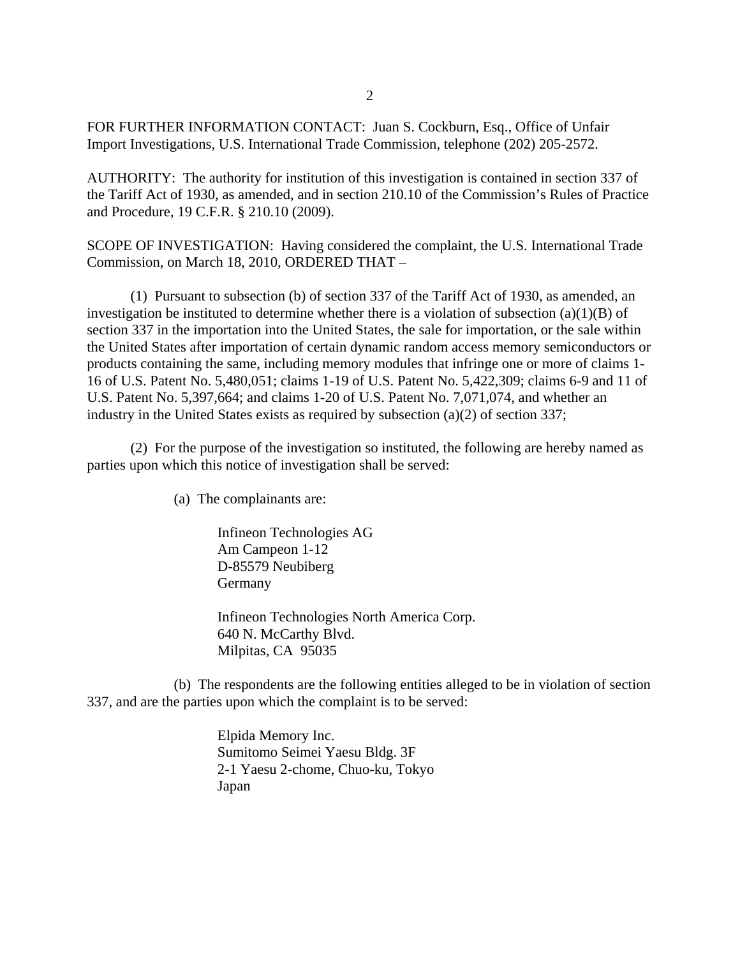FOR FURTHER INFORMATION CONTACT: Juan S. Cockburn, Esq., Office of Unfair Import Investigations, U.S. International Trade Commission, telephone (202) 205-2572.

AUTHORITY: The authority for institution of this investigation is contained in section 337 of the Tariff Act of 1930, as amended, and in section 210.10 of the Commission's Rules of Practice and Procedure, 19 C.F.R. § 210.10 (2009).

SCOPE OF INVESTIGATION: Having considered the complaint, the U.S. International Trade Commission, on March 18, 2010, ORDERED THAT –

(1) Pursuant to subsection (b) of section 337 of the Tariff Act of 1930, as amended, an investigation be instituted to determine whether there is a violation of subsection  $(a)(1)(B)$  of section 337 in the importation into the United States, the sale for importation, or the sale within the United States after importation of certain dynamic random access memory semiconductors or products containing the same, including memory modules that infringe one or more of claims 1- 16 of U.S. Patent No. 5,480,051; claims 1-19 of U.S. Patent No. 5,422,309; claims 6-9 and 11 of U.S. Patent No. 5,397,664; and claims 1-20 of U.S. Patent No. 7,071,074, and whether an industry in the United States exists as required by subsection (a)(2) of section 337;

(2) For the purpose of the investigation so instituted, the following are hereby named as parties upon which this notice of investigation shall be served:

(a) The complainants are:

Infineon Technologies AG Am Campeon 1-12 D-85579 Neubiberg Germany

Infineon Technologies North America Corp. 640 N. McCarthy Blvd. Milpitas, CA 95035

(b) The respondents are the following entities alleged to be in violation of section 337, and are the parties upon which the complaint is to be served:

> Elpida Memory Inc. Sumitomo Seimei Yaesu Bldg. 3F 2-1 Yaesu 2-chome, Chuo-ku, Tokyo Japan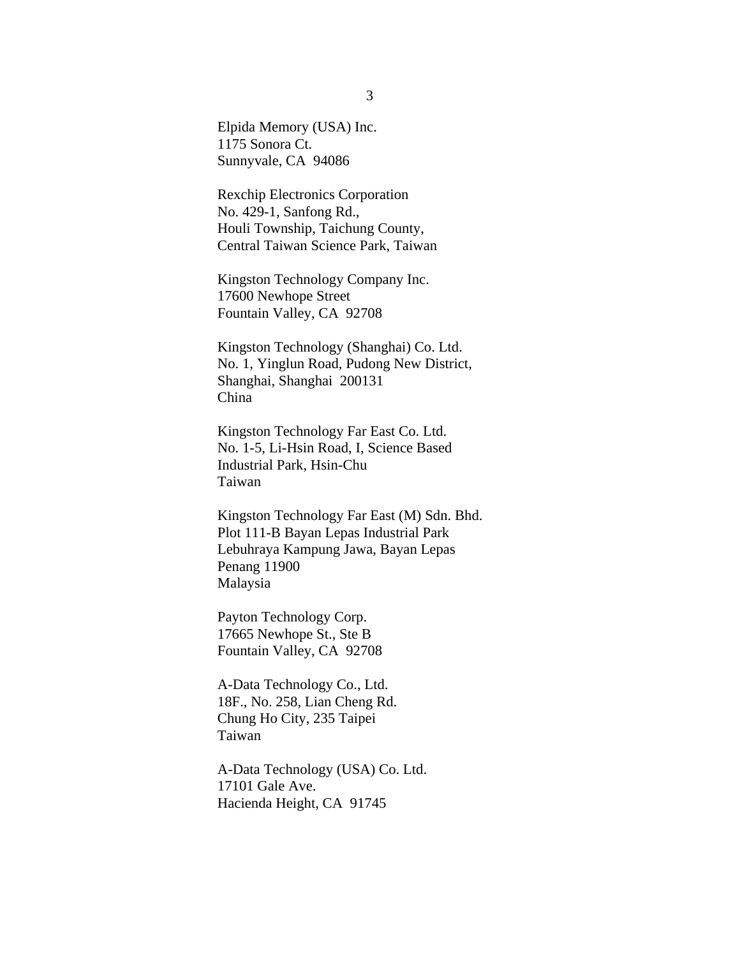Elpida Memory (USA) Inc. 1175 Sonora Ct. Sunnyvale, CA 94086

Rexchip Electronics Corporation No. 429-1, Sanfong Rd., Houli Township, Taichung County, Central Taiwan Science Park, Taiwan

Kingston Technology Company Inc. 17600 Newhope Street Fountain Valley, CA 92708

Kingston Technology (Shanghai) Co. Ltd. No. 1, Yinglun Road, Pudong New District, Shanghai, Shanghai 200131 China

Kingston Technology Far East Co. Ltd. No. 1-5, Li-Hsin Road, I, Science Based Industrial Park, Hsin-Chu Taiwan

Kingston Technology Far East (M) Sdn. Bhd. Plot 111-B Bayan Lepas Industrial Park Lebuhraya Kampung Jawa, Bayan Lepas Penang 11900 Malaysia

Payton Technology Corp. 17665 Newhope St., Ste B Fountain Valley, CA 92708

A-Data Technology Co., Ltd. 18F., No. 258, Lian Cheng Rd. Chung Ho City, 235 Taipei Taiwan

A-Data Technology (USA) Co. Ltd. 17101 Gale Ave. Hacienda Height, CA 91745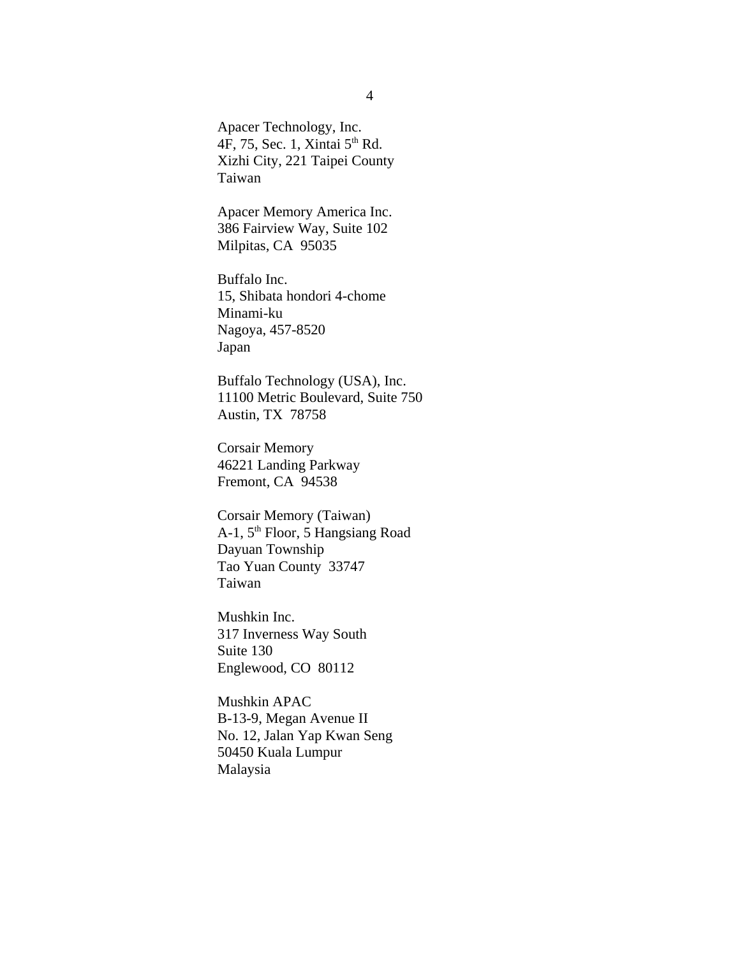Apacer Technology, Inc. 4F, 75, Sec. 1, Xintai  $5<sup>th</sup>$  Rd. Xizhi City, 221 Taipei County Taiwan

Apacer Memory America Inc. 386 Fairview Way, Suite 102 Milpitas, CA 95035

Buffalo Inc. 15, Shibata hondori 4-chome Minami-ku Nagoya, 457-8520 Japan

Buffalo Technology (USA), Inc. 11100 Metric Boulevard, Suite 750 Austin, TX 78758

Corsair Memory 46221 Landing Parkway Fremont, CA 94538

Corsair Memory (Taiwan) A-1, 5<sup>th</sup> Floor, 5 Hangsiang Road Dayuan Township Tao Yuan County 33747 Taiwan

Mushkin Inc. 317 Inverness Way South Suite 130 Englewood, CO 80112

Mushkin APAC B-13-9, Megan Avenue II No. 12, Jalan Yap Kwan Seng 50450 Kuala Lumpur Malaysia